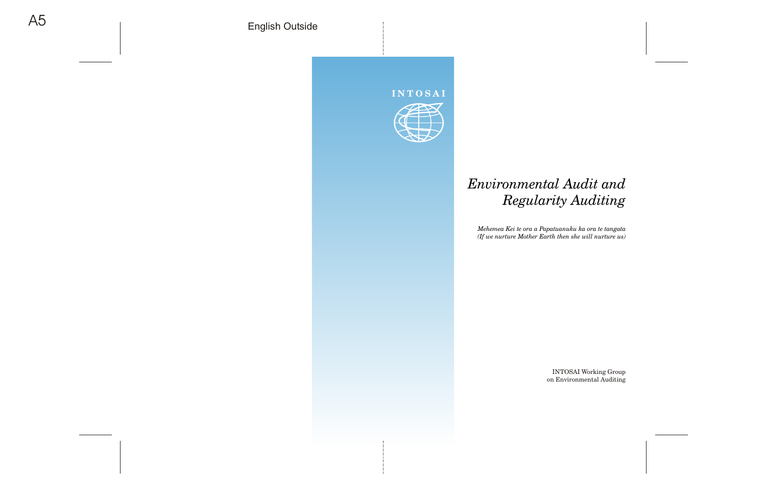## **INT OSAI**



# *Environmental Audit and Regularity Auditing*

*Mehemea Kei te ora a Papatuanuku ka ora te tangata (If we nurture Mother Earth then she will nurture us)*

> INTOSAI Working Group on Environmental Auditing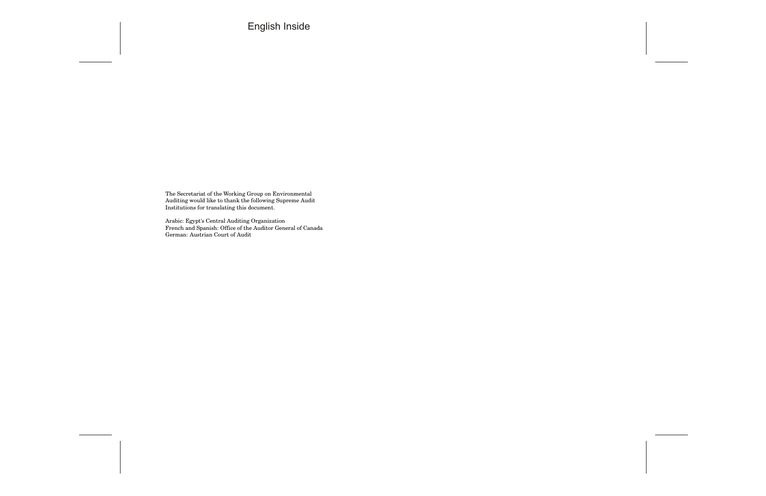The Secretariat of the Working Group on Environmental Auditing would like to thank the following Supreme Audit Institutions for translating this document.

Arabic: Egypt's Central Auditing Organization French and Spanish: Office of the Auditor General of Canada German: Austrian Court of Audit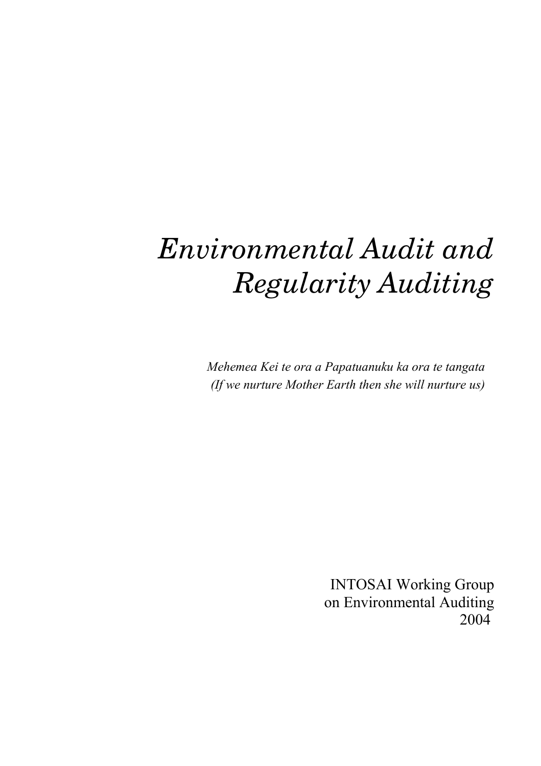# *Environmental Audit and Regularity Auditing*

*Mehemea Kei te ora a Papatuanuku ka ora te tangata (If we nurture Mother Earth then she will nurture us)*

INTOSAI Working Group on Environmental Auditing 2004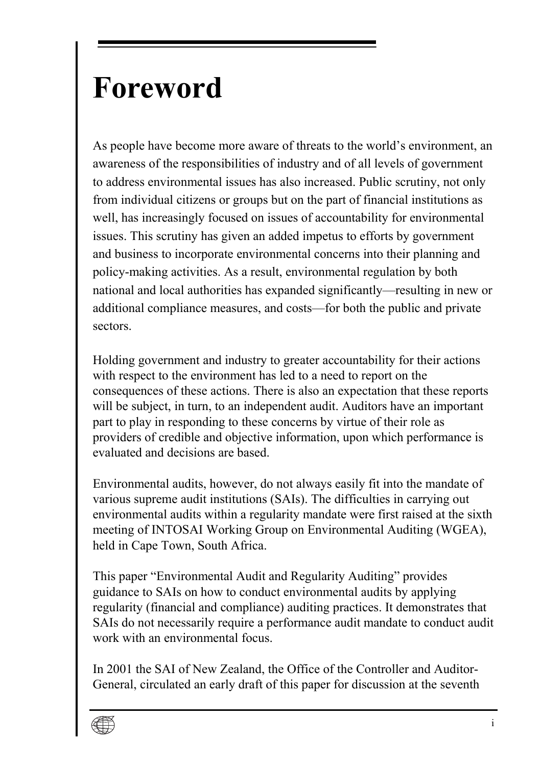# <span id="page-4-0"></span>**Foreword**

As people have become more aware of threats to the world's environment, an awareness of the responsibilities of industry and of all levels of government to address environmental issues has also increased. Public scrutiny, not only from individual citizens or groups but on the part of financial institutions as well, has increasingly focused on issues of accountability for environmental issues. This scrutiny has given an added impetus to efforts by government and business to incorporate environmental concerns into their planning and policy-making activities. As a result, environmental regulation by both national and local authorities has expanded significantly—resulting in new or additional compliance measures, and costs—for both the public and private sectors.

Holding government and industry to greater accountability for their actions with respect to the environment has led to a need to report on the consequences of these actions. There is also an expectation that these reports will be subject, in turn, to an independent audit. Auditors have an important part to play in responding to these concerns by virtue of their role as providers of credible and objective information, upon which performance is evaluated and decisions are based.

Environmental audits, however, do not always easily fit into the mandate of various supreme audit institutions (SAIs). The difficulties in carrying out environmental audits within a regularity mandate were first raised at the sixth meeting of INTOSAI Working Group on Environmental Auditing (WGEA), held in Cape Town, South Africa.

This paper "Environmental Audit and Regularity Auditing" provides guidance to SAIs on how to conduct environmental audits by applying regularity (financial and compliance) auditing practices. It demonstrates that SAIs do not necessarily require a performance audit mandate to conduct audit work with an environmental focus.

In 2001 the SAI of New Zealand, the Office of the Controller and Auditor-General, circulated an early draft of this paper for discussion at the seventh

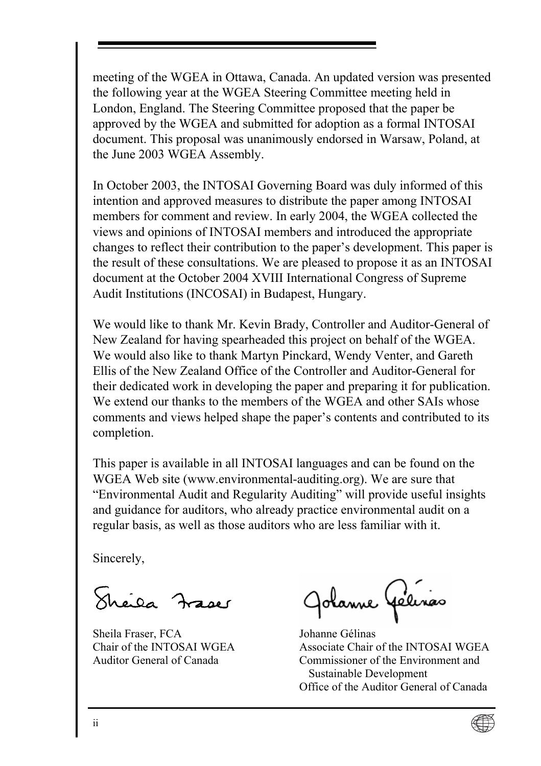meeting of the WGEA in Ottawa, Canada. An updated version was presented the following year at the WGEA Steering Committee meeting held in London, England. The Steering Committee proposed that the paper be approved by the WGEA and submitted for adoption as a formal INTOSAI document. This proposal was unanimously endorsed in Warsaw, Poland, at the June 2003 WGEA Assembly.

In October 2003, the INTOSAI Governing Board was duly informed of this intention and approved measures to distribute the paper among INTOSAI members for comment and review. In early 2004, the WGEA collected the views and opinions of INTOSAI members and introduced the appropriate changes to reflect their contribution to the paperís development. This paper is the result of these consultations. We are pleased to propose it as an INTOSAI document at the October 2004 XVIII International Congress of Supreme Audit Institutions (INCOSAI) in Budapest, Hungary.

We would like to thank Mr. Kevin Brady, Controller and Auditor-General of New Zealand for having spearheaded this project on behalf of the WGEA. We would also like to thank Martyn Pinckard, Wendy Venter, and Gareth Ellis of the New Zealand Office of the Controller and Auditor-General for their dedicated work in developing the paper and preparing it for publication. We extend our thanks to the members of the WGEA and other SAIs whose comments and views helped shape the paper's contents and contributed to its completion.

This paper is available in all INTOSAI languages and can be found on the WGEA Web site (www.environmental-auditing.org). We are sure that ìEnvironmental Audit and Regularity Auditingî will provide useful insights and guidance for auditors, who already practice environmental audit on a regular basis, as well as those auditors who are less familiar with it.

Sincerely,

Sheila Fraser

Sheila Fraser, FCA Chair of the INTOSAI WGEA Auditor General of Canada

Jolanne Gélerias

Johanne Gélinas Associate Chair of the INTOSAI WGEA Commissioner of the Environment and Sustainable Development Office of the Auditor General of Canada

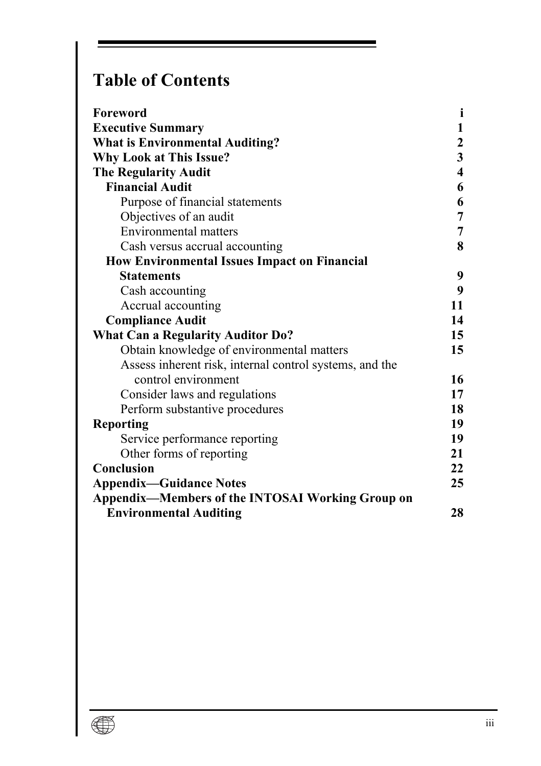# **Table of Contents**

| Foreword                                                | i                       |
|---------------------------------------------------------|-------------------------|
| <b>Executive Summary</b>                                | 1                       |
| <b>What is Environmental Auditing?</b>                  | $\mathbf{2}$            |
| Why Look at This Issue?                                 | $\mathbf{3}$            |
| <b>The Regularity Audit</b>                             | $\overline{\mathbf{4}}$ |
| <b>Financial Audit</b>                                  | 6                       |
| Purpose of financial statements                         | 6                       |
| Objectives of an audit                                  | 7                       |
| Environmental matters                                   | 7                       |
| Cash versus accrual accounting                          | 8                       |
| <b>How Environmental Issues Impact on Financial</b>     |                         |
| <b>Statements</b>                                       | 9                       |
| Cash accounting                                         | 9                       |
| Accrual accounting                                      | 11                      |
| <b>Compliance Audit</b>                                 | 14                      |
| <b>What Can a Regularity Auditor Do?</b>                | 15                      |
| Obtain knowledge of environmental matters               | 15                      |
| Assess inherent risk, internal control systems, and the |                         |
| control environment                                     | 16                      |
| Consider laws and regulations                           | 17                      |
| Perform substantive procedures                          | 18                      |
| <b>Reporting</b>                                        | 19                      |
| Service performance reporting                           | 19                      |
| Other forms of reporting                                | 21                      |
| Conclusion                                              | 22                      |
| <b>Appendix-Guidance Notes</b>                          | 25                      |
| Appendix—Members of the INTOSAI Working Group on        |                         |
| <b>Environmental Auditing</b>                           | 28                      |

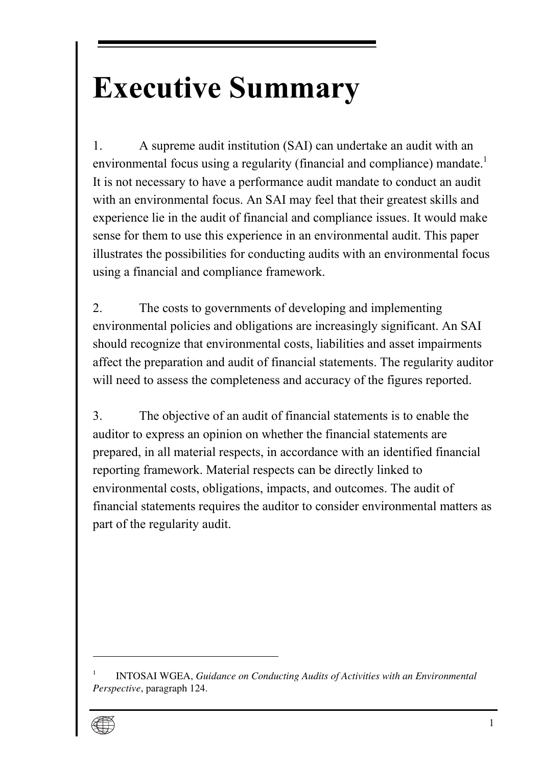# <span id="page-8-0"></span>**Executive Summary**

1. A supreme audit institution (SAI) can undertake an audit with an environmental focus using a regularity (financial and compliance) mandate.<sup>1</sup> It is not necessary to have a performance audit mandate to conduct an audit with an environmental focus. An SAI may feel that their greatest skills and experience lie in the audit of financial and compliance issues. It would make sense for them to use this experience in an environmental audit. This paper illustrates the possibilities for conducting audits with an environmental focus using a financial and compliance framework.

2. The costs to governments of developing and implementing environmental policies and obligations are increasingly significant. An SAI should recognize that environmental costs, liabilities and asset impairments affect the preparation and audit of financial statements. The regularity auditor will need to assess the completeness and accuracy of the figures reported.

3. The objective of an audit of financial statements is to enable the auditor to express an opinion on whether the financial statements are prepared, in all material respects, in accordance with an identified financial reporting framework. Material respects can be directly linked to environmental costs, obligations, impacts, and outcomes. The audit of financial statements requires the auditor to consider environmental matters as part of the regularity audit.

<sup>1</sup> INTOSAI WGEA, *Guidance on Conducting Audits of Activities with an Environmental Perspective*, paragraph 124.

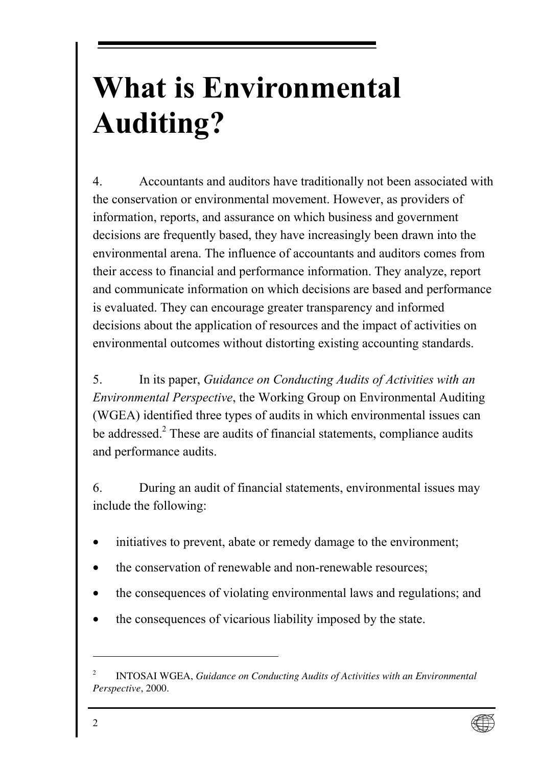# <span id="page-9-0"></span>**What is Environmental Auditing?**

4. Accountants and auditors have tradi[tio](#page-9-1)nally not been associated with the conservation or environmental movement. However, as providers of information, reports, and assurance on which business and government decisions are frequently based, they have increasingly been drawn into the environmental arena. The influence of accountants and auditors comes from their access to financial and performance information. They analyze, report and communicate information on which decisions are based and performance is evaluated. They can encourage greater transparency and informed decisions about the application of resources and the impact of activities on environmental outcomes without distorting existing accounting standards.

5. In its paper, *Guidance on Conducting Audits of Activities with an Environmental Perspective*, the Working Group on Environmental Auditing (WGEA) identified three types of audits in which environmental issues can be addressed.<sup>2</sup> These are audits of financial statements, compliance audits and performance audits.

6. During an audit of financial statements, environmental issues may include the following:

- initiatives to prevent, abate or remedy damage to the environment;
- the conservation of renewable and non-renewable resources;
- the consequences of violating environmental laws and regulations; and
- the consequences of vicarious liability imposed by the state.

<span id="page-9-1"></span><sup>2</sup> INTOSAI WGEA, *Guidance on Conducting Audits of Activities with an Environmental Perspective*, 2000.

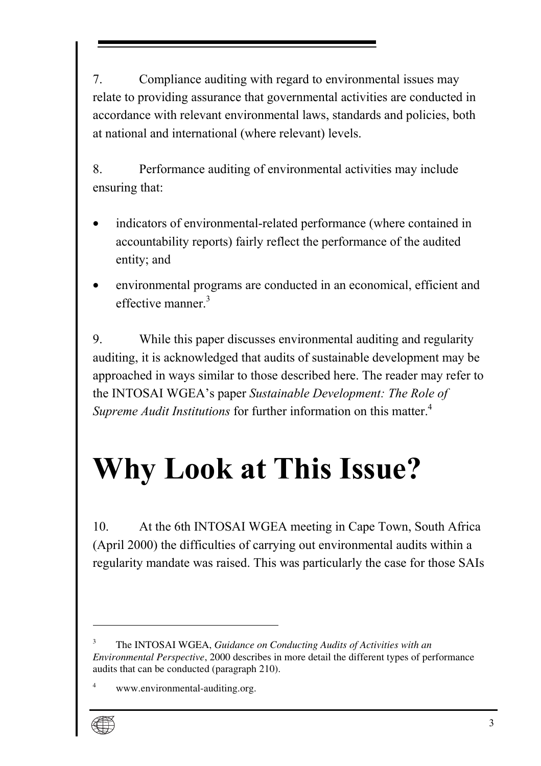<span id="page-10-0"></span>7. Compliance auditing with regard to environmental issues may relate to providing assurance that governmental activities are conducted in accordance with relevant environmental laws, standards and policies, both at national and international (where relevant) levels.

8. Performance auditing of environmental activities may include ensuring that:

- indicators of environmental-related performance (where contained in accountability reports) fairly reflect the performance of the audited entity; and
- environmental programs are conducted in an economical, efficient and effective manner<sup>3</sup>

9. While this paper discusses environmental auditing and regularity auditing, it is acknowledged that audits of sustainable development may be approached in ways similar to those described here. The reader may refer to the INTOSAI WGEA's paper *Sustainable Development: The Role of Supreme Audit Institutions* for further information on this matter.<sup>4</sup>

# **Why Look at This Issue?**

10. At the 6th INTOSAI WGEA meeting in Cape Town, South Africa (April 2000) the difficulties of carrying out environmental audits within a regularity mandate was raised. This was particularly the case for those SAIs

<sup>4</sup> www.environmental-auditing.org.



<sup>3</sup> The INTOSAI WGEA, *Guidance on Conducting Audits of Activities with an Environmental Perspective*, 2000 describes in more detail the different types of performance audits that can be conducted (paragraph 210).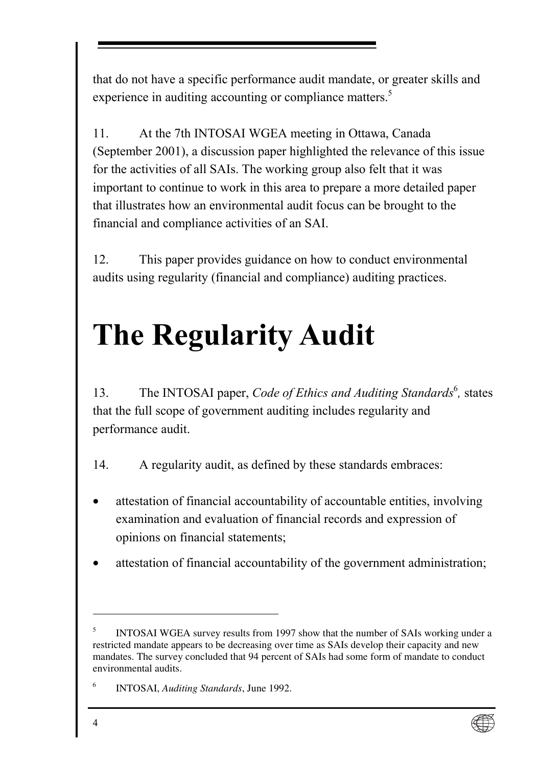<span id="page-11-0"></span>that do not have a specific performance audit mandate, or greater skills and experience in auditing accounting or compliance matters.<sup>5</sup>

11. At the 7th INTOSAI WGEA meeting in Ottawa, Canada (September 2001), a discussion paper highlighted the relevance of this issue for the activities of all SAIs. The working group also felt that it was important to continue to work in this area to prepare a more detailed paper that illustrates how an environmental audit focus can be brought to the financial and compliance activities of an SAI.

12. This paper provides guidance on how to conduct environmental audits using regularity (financial and compliance) auditing practices.

# **The Regularity Audit**

13. The INTOSAI paper, *Code of Ethics and Auditing Standards*<sup>6</sup>, states that the full scope of government auditing includes regularity and performance audit.

14. A regularity audit, as defined by these standards embraces:

- attestation of financial accountability of accountable entities, involving examination and evaluation of financial records and expression of opinions on financial statements;
- attestation of financial accountability of the government administration;



<sup>5</sup> INTOSAI WGEA survey results from 1997 show that the number of SAIs working under a restricted mandate appears to be decreasing over time as SAIs develop their capacity and new mandates. The survey concluded that 94 percent of SAIs had some form of mandate to conduct environmental audits.

<sup>6</sup> INTOSAI, *Auditing Standards*, June 1992.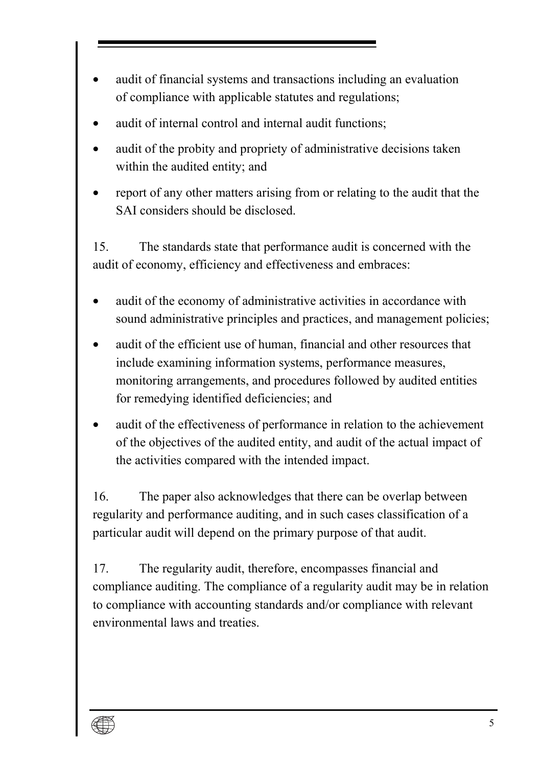- audit of financial systems and transactions including an evaluation of compliance with applicable statutes and regulations;
- audit of internal control and internal audit functions;
- audit of the probity and propriety of administrative decisions taken within the audited entity; and
- report of any other matters arising from or relating to the audit that the SAI considers should be disclosed.

15. The standards state that performance audit is concerned with the audit of economy, efficiency and effectiveness and embraces:

- audit of the economy of administrative activities in accordance with sound administrative principles and practices, and management policies;
- audit of the efficient use of human, financial and other resources that include examining information systems, performance measures, monitoring arrangements, and procedures followed by audited entities for remedying identified deficiencies; and
- audit of the effectiveness of performance in relation to the achievement of the objectives of the audited entity, and audit of the actual impact of the activities compared with the intended impact.

16. The paper also acknowledges that there can be overlap between regularity and performance auditing, and in such cases classification of a particular audit will depend on the primary purpose of that audit.

17. The regularity audit, therefore, encompasses financial and compliance auditing. The compliance of a regularity audit may be in relation to compliance with accounting standards and/or compliance with relevant environmental laws and treaties.

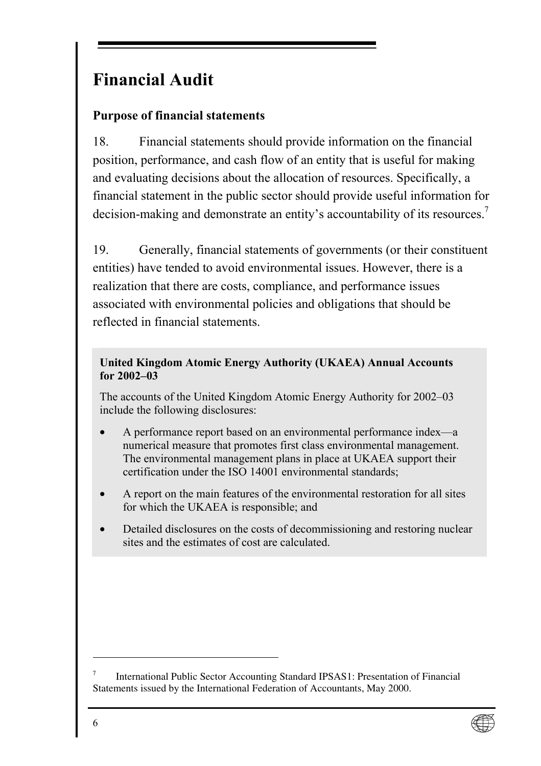## <span id="page-13-0"></span>**Financial Audit**

### **Purpose of financial statements**

18. Financial statements should provide information on the financial position, performance, and cash flow of an entity that is useful for making and evaluating decisions about the allocation of resources. Specifically, a financial statement in the public sector should provide useful information for decision-making and demonstrate an entity's accountability of its resources.<sup>7</sup>

19. Generally, financial statements of governments (or their constituent entities) have tended to avoid environmental issues. However, there is a realization that there are costs, compliance, and performance issues associated with environmental policies and obligations that should be reflected in financial statements.

#### **United Kingdom Atomic Energy Authority (UKAEA) Annual Accounts**  for 2002-03

The accounts of the United Kingdom Atomic Energy Authority for 2002–03 include the following disclosures:

- A performance report based on an environmental performance index—a numerical measure that promotes first class environmental management. The environmental management plans in place at UKAEA support their certification under the ISO 14001 environmental standards;
- A report on the main features of the environmental restoration for all sites for which the UKAEA is responsible; and
- Detailed disclosures on the costs of decommissioning and restoring nuclear sites and the estimates of cost are calculated.

<sup>7</sup> International Public Sector Accounting Standard IPSAS1: Presentation of Financial Statements issued by the International Federation of Accountants, May 2000.

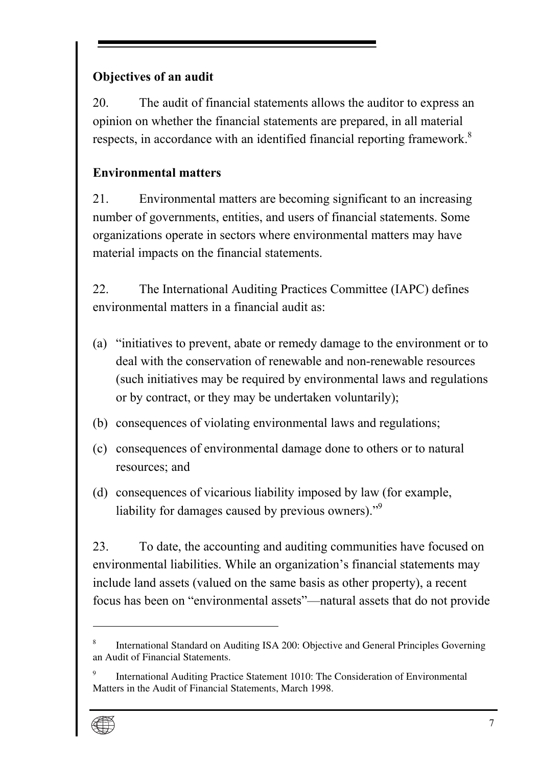### <span id="page-14-0"></span>**Objectives of an audit**

20. The audit of financial statements allows the auditor to express an opinion on whether the financial statements are prepared, in all material respects, in accordance with an identified financial reporting framework.<sup>8</sup>

### **Environmental matters**

21. Environmental matters are becoming significant to an increasing number of governments, entities, and users of financial statements. Some organizations operate in sectors where environmental matters may have material impacts on the financial statements.

22. The International Auditing Practices Committee (IAPC) defines environmental matters in a financial audit as:

- (a) "initiatives to prevent, abate or remedy damage to the environment or to deal with the conservation of renewable and non-renewable resources (such initiatives may be required by environmental laws and regulations or by contract, or they may be undertaken voluntarily);
- (b) consequences of violating environmental laws and regulations;
- (c) consequences of environmental damage done to others or to natural resources; and
- (d) consequences of vicarious liability imposed by law (for example, liability for damages caused by previous owners). $\frac{1}{2}$

23. To date, the accounting and auditing communities have focused on environmental liabilities. While an organization's financial statements may include land assets (valued on the same basis as other property), a recent focus has been on "environmental assets"—natural assets that do not provide

<sup>9</sup> International Auditing Practice Statement 1010: The Consideration of Environmental Matters in the Audit of Financial Statements, March 1998.



<sup>8</sup> International Standard on Auditing ISA 200: Objective and General Principles Governing an Audit of Financial Statements.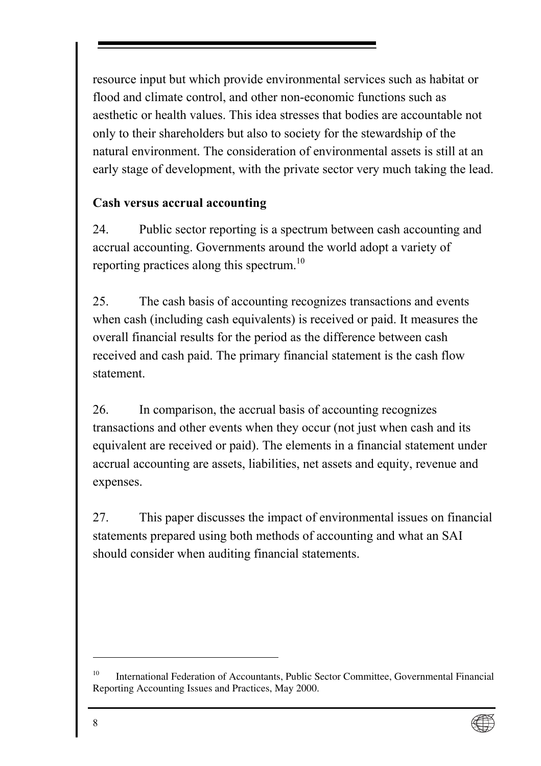<span id="page-15-0"></span>resource input but which provide environmental services such as habitat or flood and climate control, and other non-economic functions such as aesthetic or health values. This idea stresses that bodies are accountable not only to their shareholders but also to society for the stewardship of the natural environment. The consideration of environmental assets is still at an early stage of development, with the private sector very much taking the lead.

### **Cash versus accrual accounting**

24. Public sector reporting is a spectrum between cash accounting and accrual accounting. Governments around the world adopt a variety of reporting practices along this spectrum.<sup>10</sup>

25. The cash basis of accounting recognizes transactions and events when cash (including cash equivalents) is received or paid. It measures the overall financial results for the period as the difference between cash received and cash paid. The primary financial statement is the cash flow statement.

26. In comparison, the accrual basis of accounting recognizes transactions and other events when they occur (not just when cash and its equivalent are received or paid). The elements in a financial statement under accrual accounting are assets, liabilities, net assets and equity, revenue and expenses.

27. This paper discusses the impact of environmental issues on financial statements prepared using both methods of accounting and what an SAI should consider when auditing financial statements.

<sup>10</sup> International Federation of Accountants, Public Sector Committee, Governmental Financial Reporting Accounting Issues and Practices, May 2000.

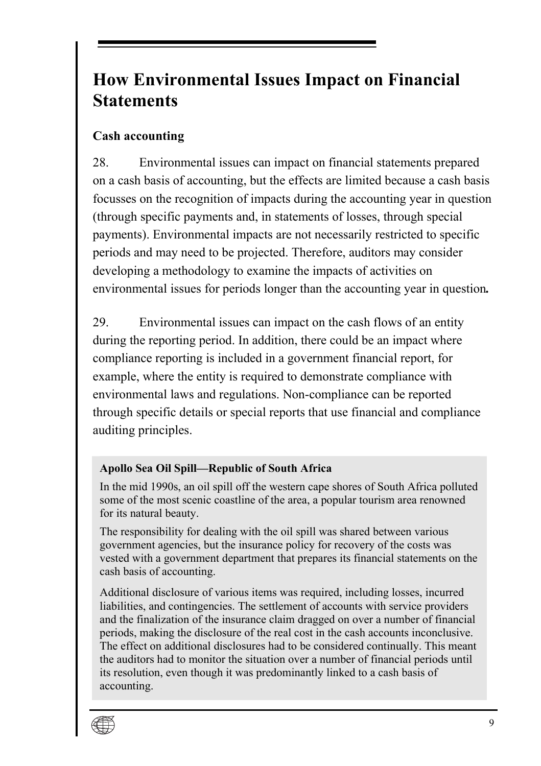## <span id="page-16-0"></span>**How Environmental Issues Impact on Financial Statements**

### **Cash accounting**

28. Environmental issues can impact on financial statements prepared on a cash basis of accounting, but the effects are limited because a cash basis focusses on the recognition of impacts during the accounting year in question (through specific payments and, in statements of losses, through special payments). Environmental impacts are not necessarily restricted to specific periods and may need to be projected. Therefore, auditors may consider developing a methodology to examine the impacts of activities on environmental issues for periods longer than the accounting year in question*.*

29. Environmental issues can impact on the cash flows of an entity during the reporting period. In addition, there could be an impact where compliance reporting is included in a government financial report, for example, where the entity is required to demonstrate compliance with environmental laws and regulations. Non-compliance can be reported through specific details or special reports that use financial and compliance auditing principles.

### **Apollo Sea Oil Spill—Republic of South Africa**

In the mid 1990s, an oil spill off the western cape shores of South Africa polluted some of the most scenic coastline of the area, a popular tourism area renowned for its natural beauty.

The responsibility for dealing with the oil spill was shared between various government agencies, but the insurance policy for recovery of the costs was vested with a government department that prepares its financial statements on the cash basis of accounting.

Additional disclosure of various items was required, including losses, incurred liabilities, and contingencies. The settlement of accounts with service providers and the finalization of the insurance claim dragged on over a number of financial periods, making the disclosure of the real cost in the cash accounts inconclusive. The effect on additional disclosures had to be considered continually. This meant the auditors had to monitor the situation over a number of financial periods until its resolution, even though it was predominantly linked to a cash basis of accounting.

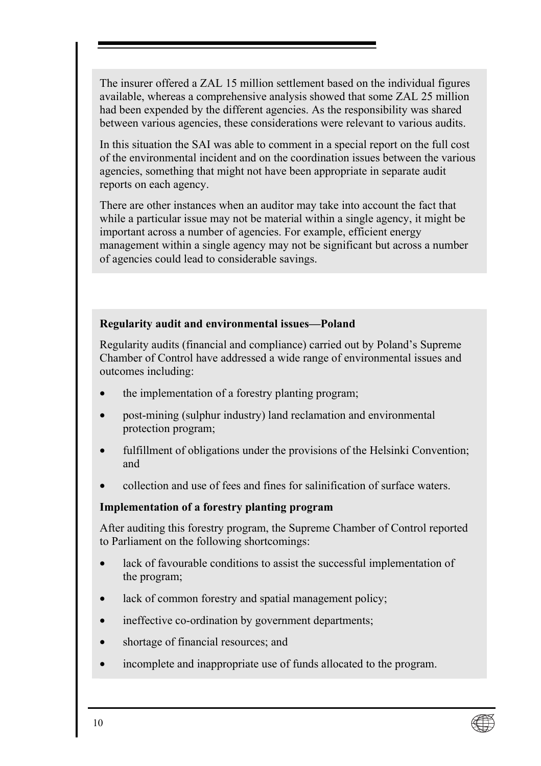The insurer offered a ZAL 15 million settlement based on the individual figures available, whereas a comprehensive analysis showed that some ZAL 25 million had been expended by the different agencies. As the responsibility was shared between various agencies, these considerations were relevant to various audits.

In this situation the SAI was able to comment in a special report on the full cost of the environmental incident and on the coordination issues between the various agencies, something that might not have been appropriate in separate audit reports on each agency.

There are other instances when an auditor may take into account the fact that while a particular issue may not be material within a single agency, it might be important across a number of agencies. For example, efficient energy management within a single agency may not be significant but across a number of agencies could lead to considerable savings.

#### **Regularity audit and environmental issues—Poland**

Regularity audits (financial and compliance) carried out by Poland's Supreme Chamber of Control have addressed a wide range of environmental issues and outcomes including:

- the implementation of a forestry planting program;
- post-mining (sulphur industry) land reclamation and environmental protection program;
- fulfillment of obligations under the provisions of the Helsinki Convention; and
- collection and use of fees and fines for salinification of surface waters.

#### **Implementation of a forestry planting program**

After auditing this forestry program, the Supreme Chamber of Control reported to Parliament on the following shortcomings:

- lack of favourable conditions to assist the successful implementation of the program;
- lack of common forestry and spatial management policy;
- ineffective co-ordination by government departments;
- shortage of financial resources; and
- incomplete and inappropriate use of funds allocated to the program.

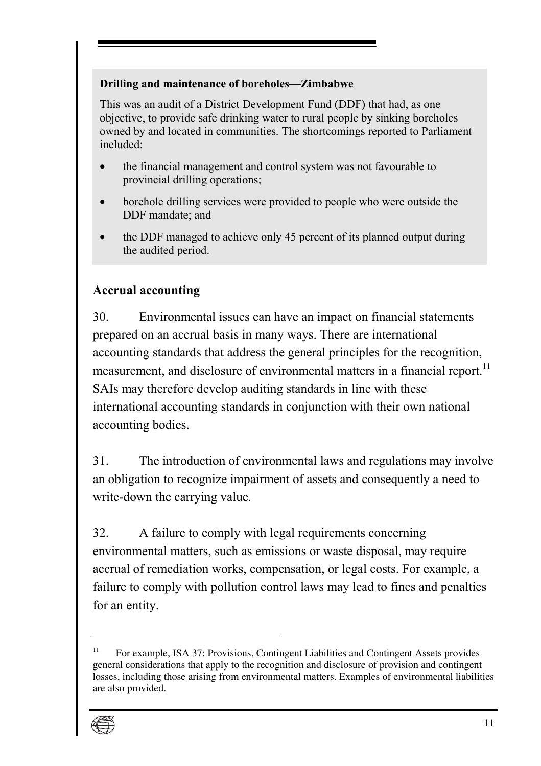#### <span id="page-18-0"></span>**Drilling and maintenance of boreholes–Zimbabwe**

This was an audit of a District Development Fund (DDF) that had, as one objective, to provide safe drinking water to rural people by sinking boreholes owned by and located in communities. The shortcomings reported to Parliament included:

- the financial management and control system was not favourable to provincial drilling operations;
- borehole drilling services were provided to people who were outside the DDF mandate; and
- the DDF managed to achieve only 45 percent of its planned output during the audited period.

### **Accrual accounting**

30. Environmental issues can have an impact on financial statements prepared on an accrual basis in many ways. There are international accounting standards that address the general principles for the recognition, measurement, and disclosure of environmental matters in a financial report.<sup>11</sup> SAIs may therefore develop auditing standards in line with these international accounting standards in conjunction with their own national accounting bodies.

31. The introduction of environmental laws and regulations may involve an obligation to recognize impairment of assets and consequently a need to write-down the carrying value*.*

32. A failure to comply with legal requirements concerning environmental matters, such as emissions or waste disposal, may require accrual of remediation works, compensation, or legal costs. For example, a failure to comply with pollution control laws may lead to fines and penalties for an entity.

<sup>&</sup>lt;sup>11</sup> For example, ISA 37: Provisions, Contingent Liabilities and Contingent Assets provides general considerations that apply to the recognition and disclosure of provision and contingent losses, including those arising from environmental matters. Examples of environmental liabilities are also provided.

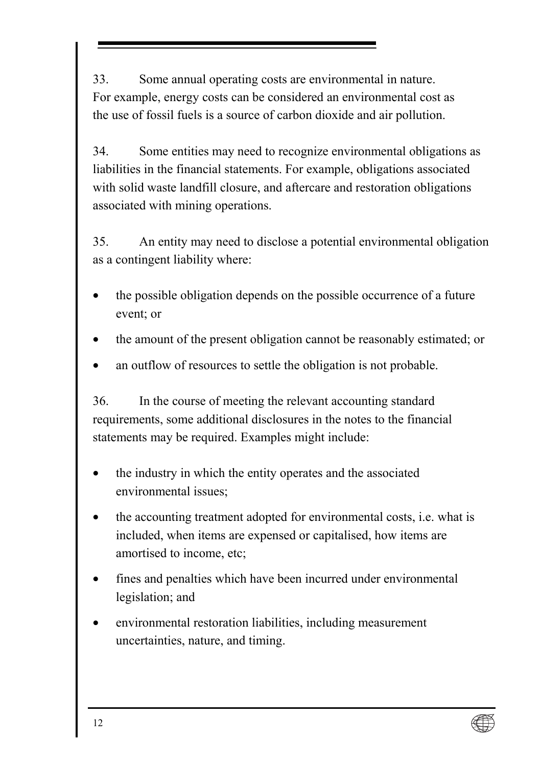33. Some annual operating costs are environmental in nature. For example, energy costs can be considered an environmental cost as the use of fossil fuels is a source of carbon dioxide and air pollution.

34. Some entities may need to recognize environmental obligations as liabilities in the financial statements. For example, obligations associated with solid waste landfill closure, and aftercare and restoration obligations associated with mining operations.

35. An entity may need to disclose a potential environmental obligation as a contingent liability where:

- the possible obligation depends on the possible occurrence of a future event; or
- the amount of the present obligation cannot be reasonably estimated; or
- an outflow of resources to settle the obligation is not probable.

36. In the course of meeting the relevant accounting standard requirements, some additional disclosures in the notes to the financial statements may be required. Examples might include:

- the industry in which the entity operates and the associated environmental issues;
- the accounting treatment adopted for environmental costs, i.e. what is included, when items are expensed or capitalised, how items are amortised to income, etc;
- fines and penalties which have been incurred under environmental legislation; and
- environmental restoration liabilities, including measurement uncertainties, nature, and timing.

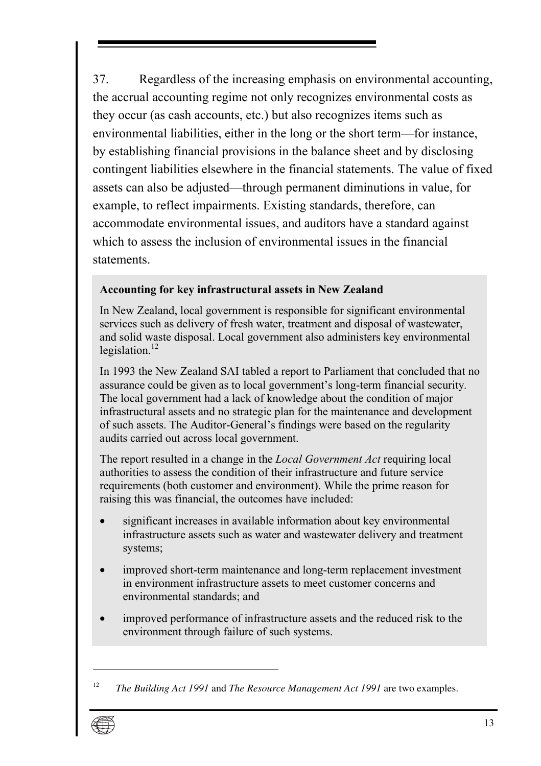37. Regardless of the increasing emphasis on environmental accounting, the accrual accounting regime not only rec[ogn](#page-20-0)izes environmental costs as they occur (as cash accounts, etc.) but also recognizes items such as environmental liabilities, either in the long or the short term—for instance, by establishing financial provisions in the balance sheet and by disclosing contingent liabilities elsewhere in the financial statements. The value of fixed assets can also be adjusted—through permanent diminutions in value, for example, to reflect impairments. Existing standards, therefore, can accommodate environmental issues, and auditors have a standard against which to assess the inclusion of environmental issues in the financial statements.

#### **Accounting for key infrastructural assets in New Zealand**

In New Zealand, local government is responsible for significant environmental services such as delivery of fresh water, treatment and disposal of wastewater, and solid waste disposal. Local government also administers key environmental legislation. $12$ 

In 1993 the New Zealand SAI tabled a report to Parliament that concluded that no assurance could be given as to local government's long-term financial security. The local government had a lack of knowledge about the condition of major infrastructural assets and no strategic plan for the maintenance and development of such assets. The Auditor-General's findings were based on the regularity audits carried out across local government.

The report resulted in a change in the *Local Government Act* requiring local authorities to assess the condition of their infrastructure and future service requirements (both customer and environment). While the prime reason for raising this was financial, the outcomes have included:

- significant increases in available information about key environmental infrastructure assets such as water and wastewater delivery and treatment systems;
- improved short-term maintenance and long-term replacement investment in environment infrastructure assets to meet customer concerns and environmental standards; and
- improved performance of infrastructure assets and the reduced risk to the environment through failure of such systems.

<span id="page-20-0"></span><sup>12</sup> *The Building Act 1991* and *The Resource Management Act 1991* are two examples.

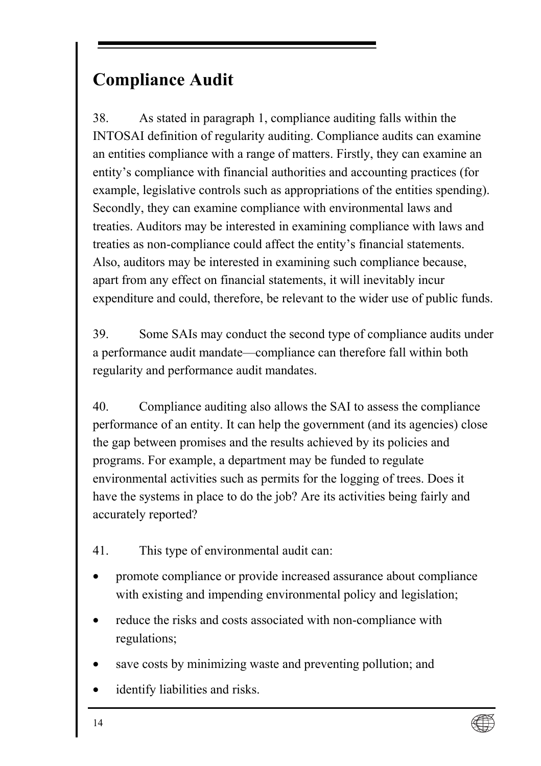## <span id="page-21-0"></span>**Compliance Audit**

38. As stated in paragraph 1, compliance auditing falls within the INTOSAI definition of regularity auditing. Compliance audits can examine an entities compliance with a range of matters. Firstly, they can examine an entity's compliance with financial authorities and accounting practices (for example, legislative controls such as appropriations of the entities spending). Secondly, they can examine compliance with environmental laws and treaties. Auditors may be interested in examining compliance with laws and treaties as non-compliance could affect the entity's financial statements. Also, auditors may be interested in examining such compliance because, apart from any effect on financial statements, it will inevitably incur expenditure and could, therefore, be relevant to the wider use of public funds.

39. Some SAIs may conduct the second type of compliance audits under a performance audit mandate—compliance can therefore fall within both regularity and performance audit mandates.

40. Compliance auditing also allows the SAI to assess the compliance performance of an entity. It can help the government (and its agencies) close the gap between promises and the results achieved by its policies and programs. For example, a department may be funded to regulate environmental activities such as permits for the logging of trees. Does it have the systems in place to do the job? Are its activities being fairly and accurately reported?

- 41. This type of environmental audit can:
- promote compliance or provide increased assurance about compliance with existing and impending environmental policy and legislation;
- reduce the risks and costs associated with non-compliance with regulations;
- save costs by minimizing waste and preventing pollution; and
- identify liabilities and risks.

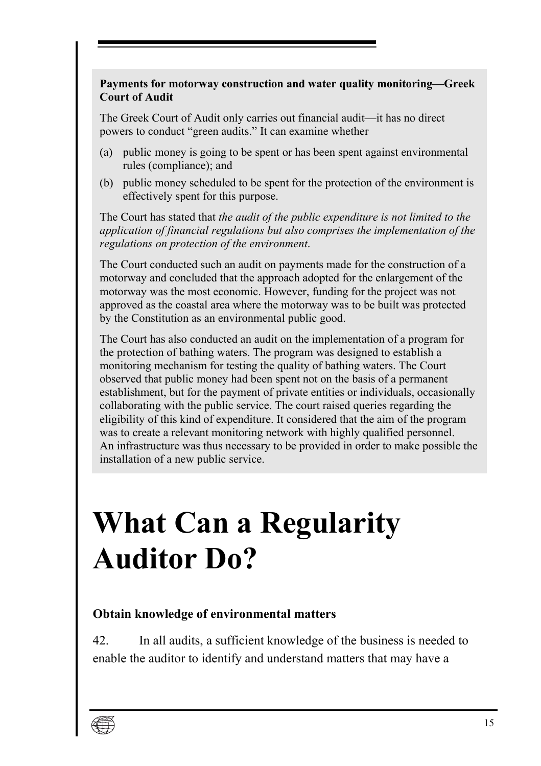#### <span id="page-22-0"></span>Payments for motorway construction and water quality monitoring—Greek **Court of Audit**

The Greek Court of Audit only carries out financial audit—it has no direct powers to conduct "green audits." It can examine whether

- (a) public money is going to be spent or has been spent against environmental rules (compliance); and
- (b) public money scheduled to be spent for the protection of the environment is effectively spent for this purpose.

The Court has stated that *the audit of the public expenditure is not limited to the application of financial regulations but also comprises the implementation of the regulations on protection of the environment*.

The Court conducted such an audit on payments made for the construction of a motorway and concluded that the approach adopted for the enlargement of the motorway was the most economic. However, funding for the project was not approved as the coastal area where the motorway was to be built was protected by the Constitution as an environmental public good.

The Court has also conducted an audit on the implementation of a program for the protection of bathing waters. The program was designed to establish a monitoring mechanism for testing the quality of bathing waters. The Court observed that public money had been spent not on the basis of a permanent establishment, but for the payment of private entities or individuals, occasionally collaborating with the public service. The court raised queries regarding the eligibility of this kind of expenditure. It considered that the aim of the program was to create a relevant monitoring network with highly qualified personnel. An infrastructure was thus necessary to be provided in order to make possible the installation of a new public service.

# **What Can a Regularity Auditor Do?**

#### **Obtain knowledge of environmental matters**

42. In all audits, a sufficient knowledge of the business is needed to enable the auditor to identify and understand matters that may have a

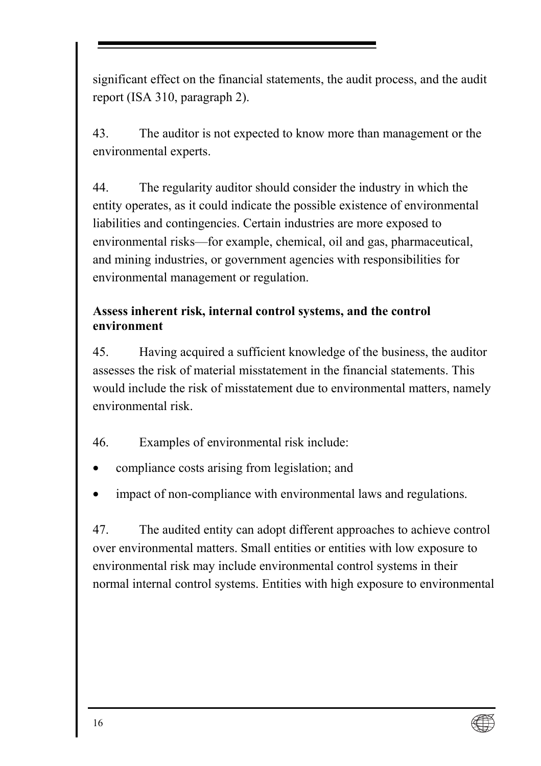<span id="page-23-0"></span>significant effect on the financial statements, the audit process, and the audit report (ISA 310, paragraph 2).

43. The auditor is not expected to know more than management or the environmental experts.

44. The regularity auditor should consider the industry in which the entity operates, as it could indicate the possible existence of environmental liabilities and contingencies. Certain industries are more exposed to environmental risks—for example, chemical, oil and gas, pharmaceutical, and mining industries, or government agencies with responsibilities for environmental management or regulation.

### **Assess inherent risk, internal control systems, and the control environment**

45. Having acquired a sufficient knowledge of the business, the auditor assesses the risk of material misstatement in the financial statements. This would include the risk of misstatement due to environmental matters, namely environmental risk.

- 46. Examples of environmental risk include:
- compliance costs arising from legislation; and
- impact of non-compliance with environmental laws and regulations.

47. The audited entity can adopt different approaches to achieve control over environmental matters. Small entities or entities with low exposure to environmental risk may include environmental control systems in their normal internal control systems. Entities with high exposure to environmental

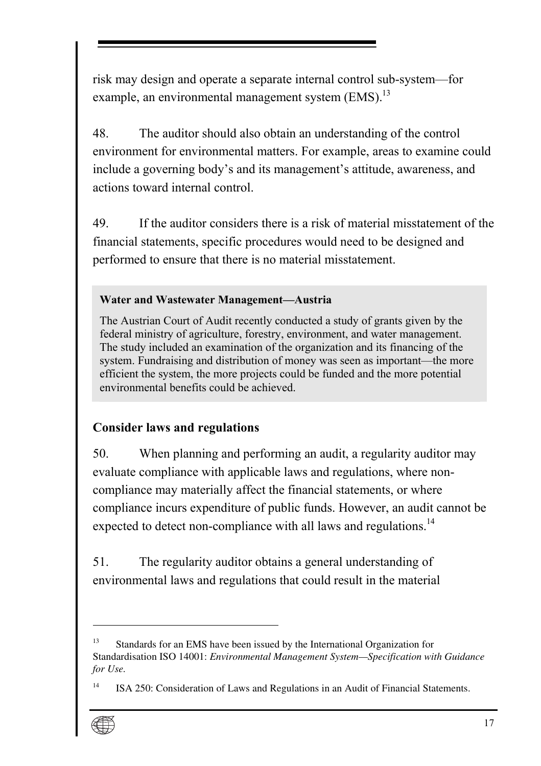<span id="page-24-0"></span>risk may design and operate a separate internal control sub-system—for example, an environmental management system (EMS).<sup>13</sup>

48. The auditor should also obtain an understanding of the control environment for environmental matters. For example, areas to examine could include a governing body's and its management's attitude, awareness, and actions toward internal control.

49. If the auditor considers there is a risk of material misstatement of the financial statements, specific procedures would need to be designed and performed to ensure that there is no material misstatement.

#### **Water and Wastewater Management-Austria**

The Austrian Court of Audit recently conducted a study of grants given by the federal ministry of agriculture, forestry, environment, and water management. The study included an examination of the organization and its financing of the system. Fundraising and distribution of money was seen as important—the more efficient the system, the more projects could be funded and the more potential environmental benefits could be achieved.

### **Consider laws and regulations**

50. When planning and performing an audit, a regularity auditor may evaluate compliance with applicable laws and regulations, where noncompliance may materially affect the financial statements, or where compliance incurs expenditure of public funds. However, an audit cannot be expected to detect non-compliance with all laws and regulations.<sup>14</sup>

51. The regularity auditor obtains a general understanding of environmental laws and regulations that could result in the material

<sup>14</sup> ISA 250: Consideration of Laws and Regulations in an Audit of Financial Statements.



<sup>&</sup>lt;sup>13</sup> Standards for an EMS have been issued by the International Organization for Standardisation ISO 14001: *Environmental Management System—Specification with Guidance for Use.*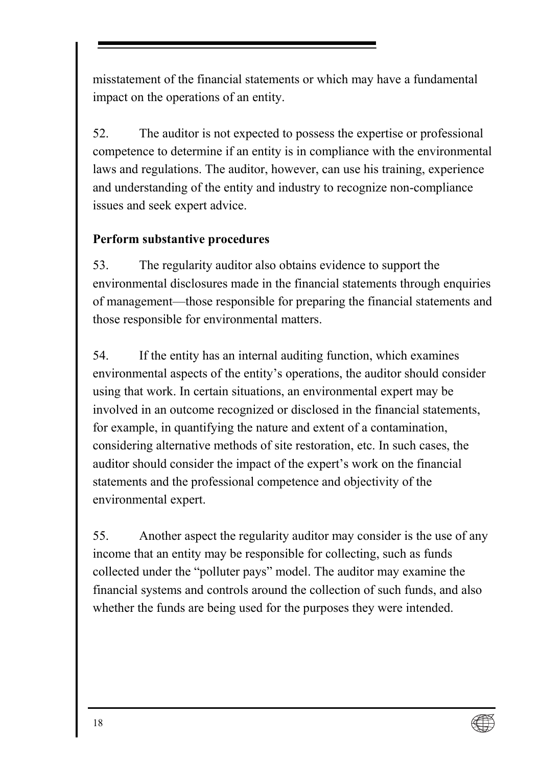<span id="page-25-0"></span>misstatement of the financial statements or which may have a fundamental impact on the operations of an entity.

52. The auditor is not expected to possess the expertise or professional competence to determine if an entity is in compliance with the environmental laws and regulations. The auditor, however, can use his training, experience and understanding of the entity and industry to recognize non-compliance issues and seek expert advice.

### **Perform substantive procedures**

53. The regularity auditor also obtains evidence to support the environmental disclosures made in the financial statements through enquiries of management—those responsible for preparing the financial statements and those responsible for environmental matters.

54. If the entity has an internal auditing function, which examines environmental aspects of the entity's operations, the auditor should consider using that work. In certain situations, an environmental expert may be involved in an outcome recognized or disclosed in the financial statements, for example, in quantifying the nature and extent of a contamination, considering alternative methods of site restoration, etc. In such cases, the auditor should consider the impact of the expert's work on the financial statements and the professional competence and objectivity of the environmental expert.

55. Another aspect the regularity auditor may consider is the use of any income that an entity may be responsible for collecting, such as funds collected under the "polluter pays" model. The auditor may examine the financial systems and controls around the collection of such funds, and also whether the funds are being used for the purposes they were intended.

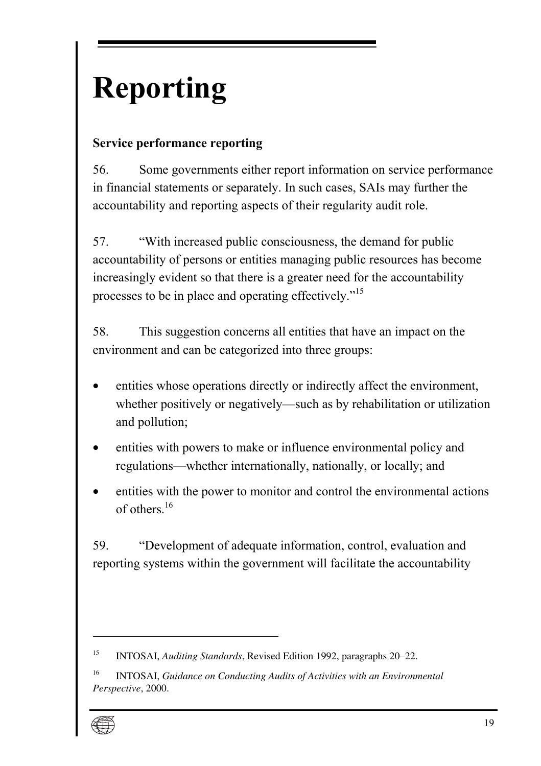# <span id="page-26-0"></span>**Reporting**

## **Service performance reporting**

56. Some governments either report information on service performance in financial statements or separately. In such cases, SAIs may further the accountability and reporting aspects of their regularity audit role.

57. *With increased public consciousness, the demand for public* accountability of persons or entities managin[g pu](#page-26-1)blic resources has become increasingly evident so that there is a greater need for the accountability processes to be in place and operating effectively.<sup>"15</sup>

58. This suggestion concerns all entities that have an impact on the environment and can be categorized into three groups:

- entities whose operations directly or indirectly affect the environment, whether positively or negatively—such as by rehabilitation or utilization and pollution;
- entities with powers to make or influence environmental policy and regulations—whether internationally, nationally, or locally; and
- entities with the power to monitor and control the environmental actions of others  $16$

59. <sup>The</sup> "Development of adequate information, control, evaluation and reporting systems within the government will facilitate the accountability

<span id="page-26-1"></span><sup>16</sup> INTOSAI, *Guidance on Conducting Audits of Activities with an Environmental Perspective*, 2000.



<sup>15</sup> INTOSAI, *Auditing Standards*, Revised Edition 1992, paragraphs 20–22.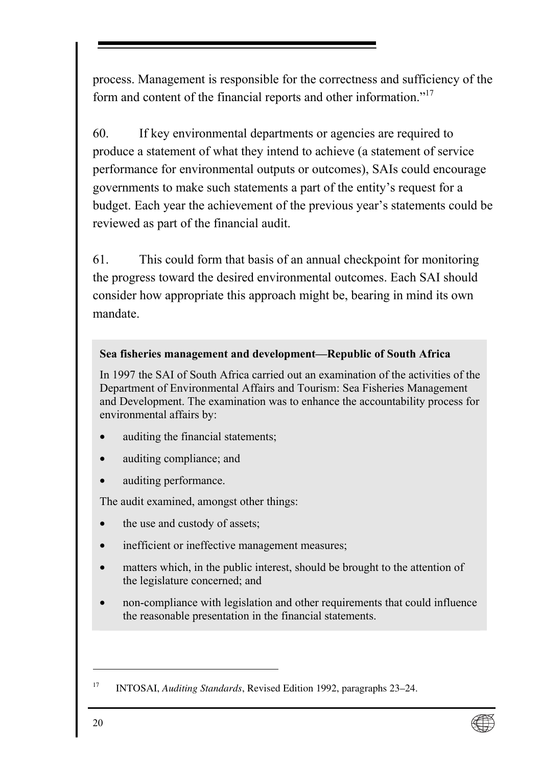process. Management is responsible for the correctness and sufficiency of the form and content of the financial reports and other information.<sup>717</sup>

60. If key environmental departments or agencies are required to produce a statement of what they intend to achieve (a statement of service performance for environmental outputs or outcomes), SAIs could encourage governments to make such statements a part of the entity's request for a budget. Each year the achievement of the previous year's statements could be reviewed as part of the financial audit.

61. This could form that basis of an annual checkpoint for monitoring the progress toward the desired environmental outcomes. Each SAI should consider how appropriate this approach might be, bearing in mind its own mandate.

#### **Sea fisheries management and development—Republic of South Africa**

In 1997 the SAI of South Africa carried out an examination of the activities of the Department of Environmental Affairs and Tourism: Sea Fisheries Management and Development. The examination was to enhance the accountability process for environmental affairs by:

- auditing the financial statements;
- auditing compliance; and
- auditing performance.

The audit examined, amongst other things:

- the use and custody of assets;
- inefficient or ineffective management measures;
- matters which, in the public interest, should be brought to the attention of the legislature concerned; and
- non-compliance with legislation and other requirements that could influence the reasonable presentation in the financial statements.



<sup>17</sup> INTOSAI, *Auditing Standards*, Revised Edition 1992, paragraphs 23–24.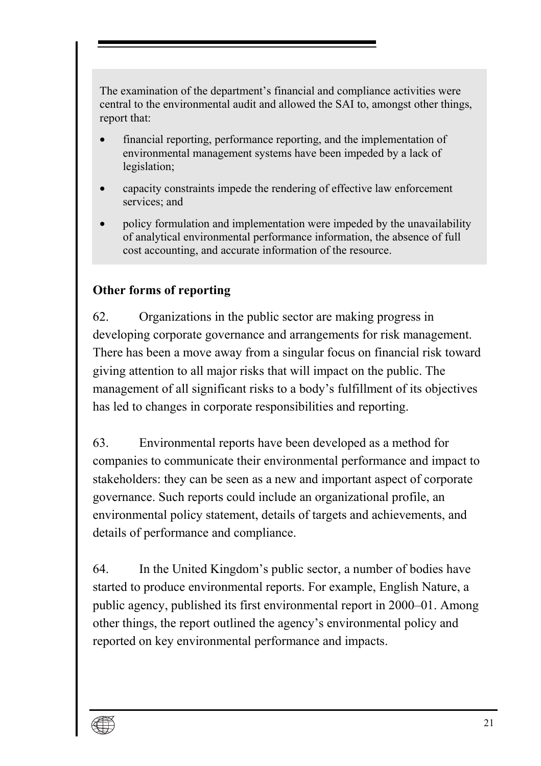<span id="page-28-0"></span>The examination of the department's financial and compliance activities were central to the environmental audit and allowed the SAI to, amongst other things, report that:

- financial reporting, performance reporting, and the implementation of environmental management systems have been impeded by a lack of legislation;
- capacity constraints impede the rendering of effective law enforcement services; and
- policy formulation and implementation were impeded by the unavailability of analytical environmental performance information, the absence of full cost accounting, and accurate information of the resource.

### **Other forms of reporting**

62. Organizations in the public sector are making progress in developing corporate governance and arrangements for risk management. There has been a move away from a singular focus on financial risk toward giving attention to all major risks that will impact on the public. The management of all significant risks to a body's fulfillment of its objectives has led to changes in corporate responsibilities and reporting.

63. Environmental reports have been developed as a method for companies to communicate their environmental performance and impact to stakeholders: they can be seen as a new and important aspect of corporate governance. Such reports could include an organizational profile, an environmental policy statement, details of targets and achievements, and details of performance and compliance.

64. In the United Kingdomís public sector, a number of bodies have started to produce environmental reports. For example, English Nature, a public agency, published its first environmental report in 2000–01. Among other things, the report outlined the agency's environmental policy and reported on key environmental performance and impacts.

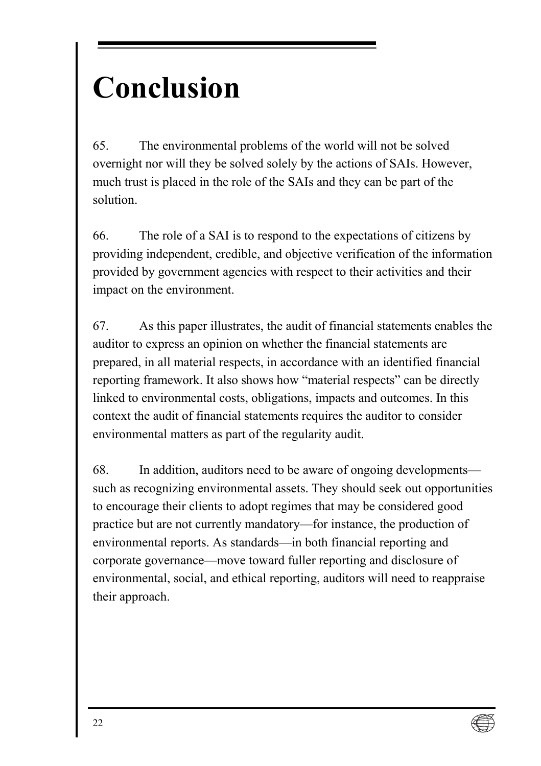# <span id="page-29-0"></span>**Conclusion**

65. The environmental problems of the world will not be solved overnight nor will they be solved solely by the actions of SAIs. However, much trust is placed in the role of the SAIs and they can be part of the solution.

66. The role of a SAI is to respond to the expectations of citizens by providing independent, credible, and objective verification of the information provided by government agencies with respect to their activities and their impact on the environment.

67. As this paper illustrates, the audit of financial statements enables the auditor to express an opinion on whether the financial statements are prepared, in all material respects, in accordance with an identified financial reporting framework. It also shows how "material respects" can be directly linked to environmental costs, obligations, impacts and outcomes. In this context the audit of financial statements requires the auditor to consider environmental matters as part of the regularity audit.

68. In addition, auditors need to be aware of ongoing developments such as recognizing environmental assets. They should seek out opportunities to encourage their clients to adopt regimes that may be considered good practice but are not currently mandatory—for instance, the production of environmental reports. As standards—in both financial reporting and corporate governance—move toward fuller reporting and disclosure of environmental, social, and ethical reporting, auditors will need to reappraise their approach.

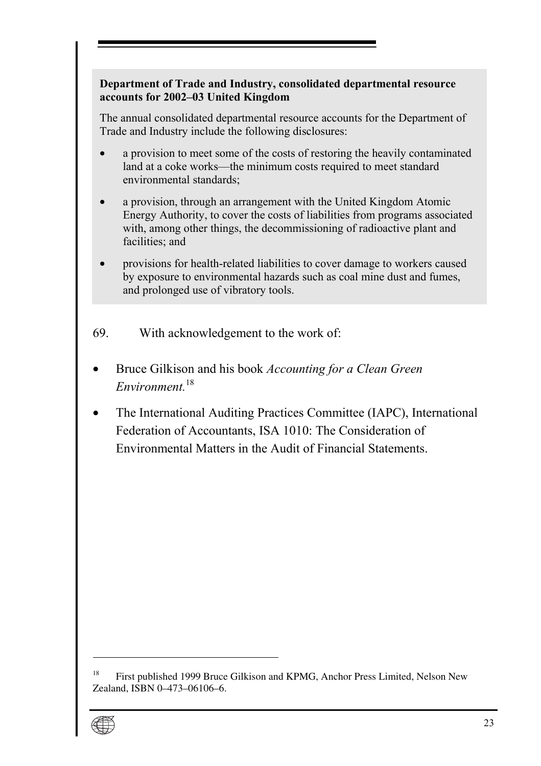#### **Department of Trade and Industry, consolidated departmental resource**  accounts for 2002–03 United Kingdom

The annual consolidated departmental resource accou[nts](#page-30-0) for the Department of Trade and Industry include the following disclosures:

- a provision to meet some of the costs of restoring the heavily contaminated land at a coke works—the minimum costs required to meet standard environmental standards;
- a provision, through an arrangement with the United Kingdom Atomic Energy Authority, to cover the costs of liabilities from programs associated with, among other things, the decommissioning of radioactive plant and facilities; and
- provisions for health-related liabilities to cover damage to workers caused by exposure to environmental hazards such as coal mine dust and fumes, and prolonged use of vibratory tools.
- 69. With acknowledgement to the work of:
- Bruce Gilkison and his book *Accounting for a Clean Green Environment.*<sup>18</sup>
- The International Auditing Practices Committee (IAPC), International Federation of Accountants, ISA 1010: The Consideration of Environmental Matters in the Audit of Financial Statements.

<span id="page-30-0"></span><sup>&</sup>lt;sup>18</sup> First published 1999 Bruce Gilkison and KPMG, Anchor Press Limited, Nelson New Zealand, ISBN 0–473–06106–6.

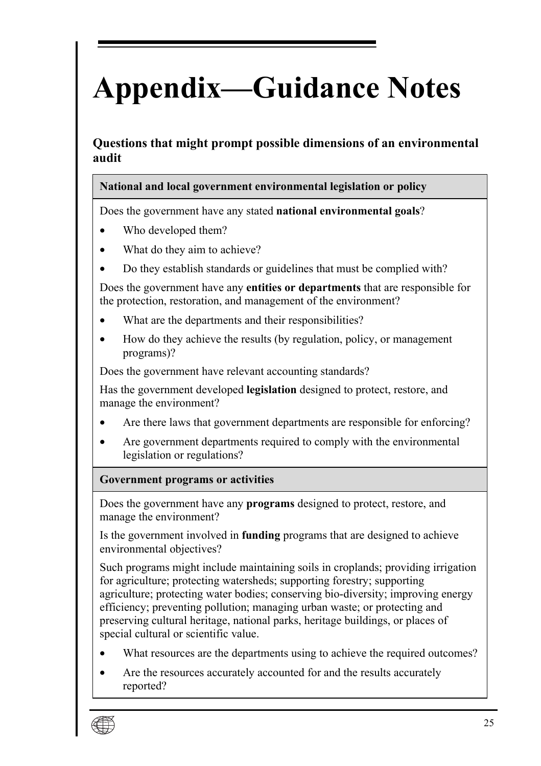# <span id="page-32-0"></span>**Appendix—Guidance Notes**

**Questions that might prompt possible dimensions of an environmental audit** 

#### **National and local government environmental legislation or policy**

Does the government have any stated **national environmental goals**?

- Who developed them?
- What do they aim to achieve?
- Do they establish standards or guidelines that must be complied with?

Does the government have any **entities or departments** that are responsible for the protection, restoration, and management of the environment?

- What are the departments and their responsibilities?
- How do they achieve the results (by regulation, policy, or management programs)?

Does the government have relevant accounting standards?

Has the government developed **legislation** designed to protect, restore, and manage the environment?

- Are there laws that government departments are responsible for enforcing?
- Are government departments required to comply with the environmental legislation or regulations?

#### **Government programs or activities**

Does the government have any **programs** designed to protect, restore, and manage the environment?

Is the government involved in **funding** programs that are designed to achieve environmental objectives?

Such programs might include maintaining soils in croplands; providing irrigation for agriculture; protecting watersheds; supporting forestry; supporting agriculture; protecting water bodies; conserving bio-diversity; improving energy efficiency; preventing pollution; managing urban waste; or protecting and preserving cultural heritage, national parks, heritage buildings, or places of special cultural or scientific value.

- What resources are the departments using to achieve the required outcomes?
- Are the resources accurately accounted for and the results accurately reported?

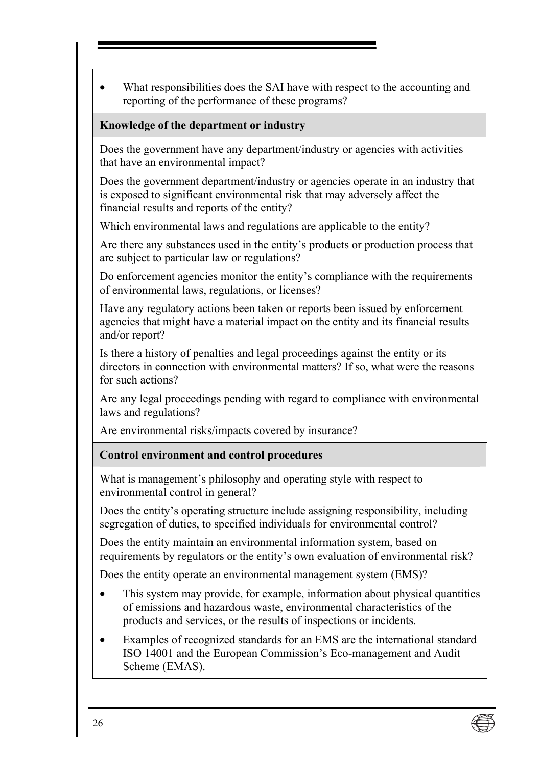• What responsibilities does the SAI have with respect to the accounting and reporting of the performance of these programs?

#### **Knowledge of the department or industry**

Does the government have any department/industry or agencies with activities that have an environmental impact?

Does the government department/industry or agencies operate in an industry that is exposed to significant environmental risk that may adversely affect the financial results and reports of the entity?

Which environmental laws and regulations are applicable to the entity?

Are there any substances used in the entity's products or production process that are subject to particular law or regulations?

Do enforcement agencies monitor the entity's compliance with the requirements of environmental laws, regulations, or licenses?

Have any regulatory actions been taken or reports been issued by enforcement agencies that might have a material impact on the entity and its financial results and/or report?

Is there a history of penalties and legal proceedings against the entity or its directors in connection with environmental matters? If so, what were the reasons for such actions?

Are any legal proceedings pending with regard to compliance with environmental laws and regulations?

Are environmental risks/impacts covered by insurance?

#### **Control environment and control procedures**

What is management's philosophy and operating style with respect to environmental control in general?

Does the entity's operating structure include assigning responsibility, including segregation of duties, to specified individuals for environmental control?

Does the entity maintain an environmental information system, based on requirements by regulators or the entity's own evaluation of environmental risk?

Does the entity operate an environmental management system (EMS)?

- This system may provide, for example, information about physical quantities of emissions and hazardous waste, environmental characteristics of the products and services, or the results of inspections or incidents.
- Examples of recognized standards for an EMS are the international standard ISO 14001 and the European Commission's Eco-management and Audit Scheme (EMAS).

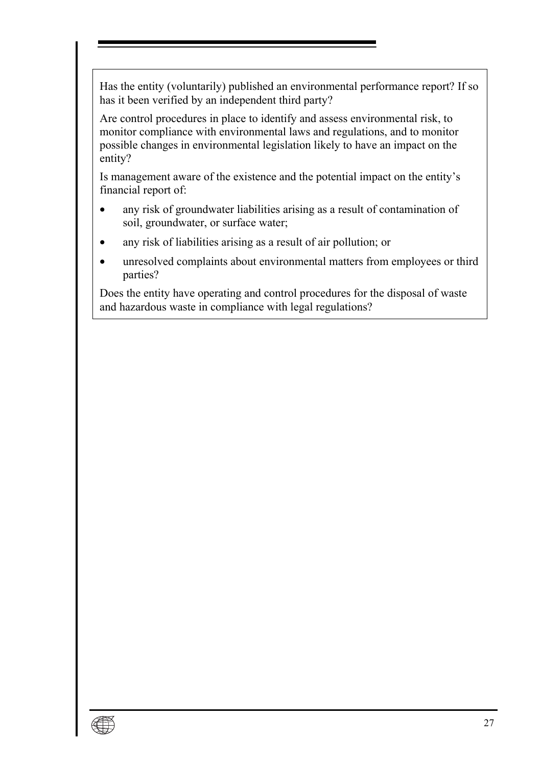Has the entity (voluntarily) published an environmental performance report? If so has it been verified by an independent third party?

Are control procedures in place to identify and assess environmental risk, to monitor compliance with environmental laws and regulations, and to monitor possible changes in environmental legislation likely to have an impact on the entity?

Is management aware of the existence and the potential impact on the entity's financial report of:

- any risk of groundwater liabilities arising as a result of contamination of soil, groundwater, or surface water;
- any risk of liabilities arising as a result of air pollution; or
- unresolved complaints about environmental matters from employees or third parties?

Does the entity have operating and control procedures for the disposal of waste and hazardous waste in compliance with legal regulations?

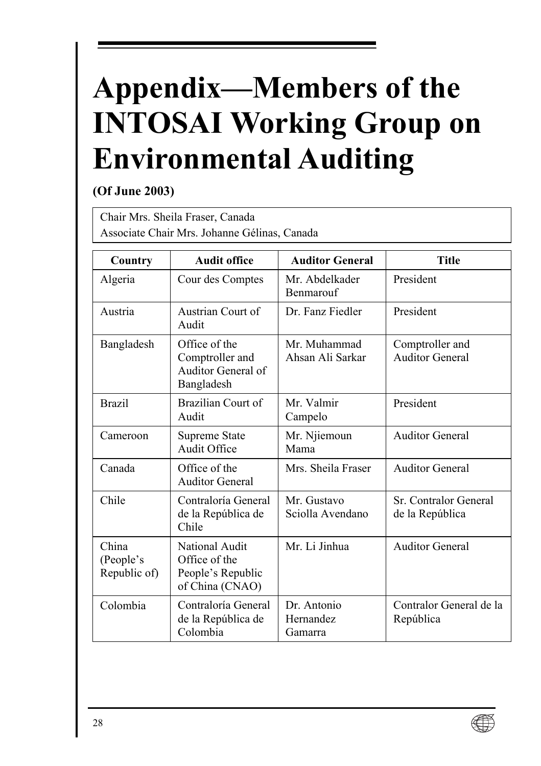# <span id="page-35-0"></span>**Appendix-Members of the INTOSAI Working Group on Environmental Auditing**

### **(Of June 2003)**

Chair Mrs. Sheila Fraser, Canada Associate Chair Mrs. Johanne GÈlinas, Canada

| Country                            | <b>Audit office</b>                                                     | <b>Auditor General</b>                     | <b>Title</b>                              |
|------------------------------------|-------------------------------------------------------------------------|--------------------------------------------|-------------------------------------------|
| Algeria                            | Cour des Comptes                                                        | Mr. Abdelkader<br><b>Benmarouf</b>         | President                                 |
| Austria                            | Austrian Court of<br>Audit                                              | Dr. Fanz Fiedler                           | President                                 |
| Bangladesh                         | Office of the<br>Comptroller and<br>Auditor General of<br>Bangladesh    | Mr Muhammad<br>Ahsan Ali Sarkar            | Comptroller and<br><b>Auditor General</b> |
| <b>Brazil</b>                      | Brazilian Court of<br>Audit                                             | Mr. Valmir<br>Campelo                      | President                                 |
| Cameroon                           | Supreme State<br>Audit Office                                           | Mr. Njiemoun<br>Mama                       | <b>Auditor General</b>                    |
| Canada                             | Office of the<br><b>Auditor General</b>                                 | Mrs. Sheila Fraser                         | <b>Auditor General</b>                    |
| Chile                              | Contraloría General<br>de la República de<br>Chile                      | Mr. Gustavo<br>Sciolla Avendano            | Sr. Contralor General<br>de la República  |
| China<br>(People's<br>Republic of) | National Audit<br>Office of the<br>People's Republic<br>of China (CNAO) | Mr. Li Jinhua                              | <b>Auditor General</b>                    |
| Colombia                           | Contraloría General<br>de la República de<br>Colombia                   | Dr. Antonio<br><b>Hernandez</b><br>Gamarra | Contralor General de la<br>República      |

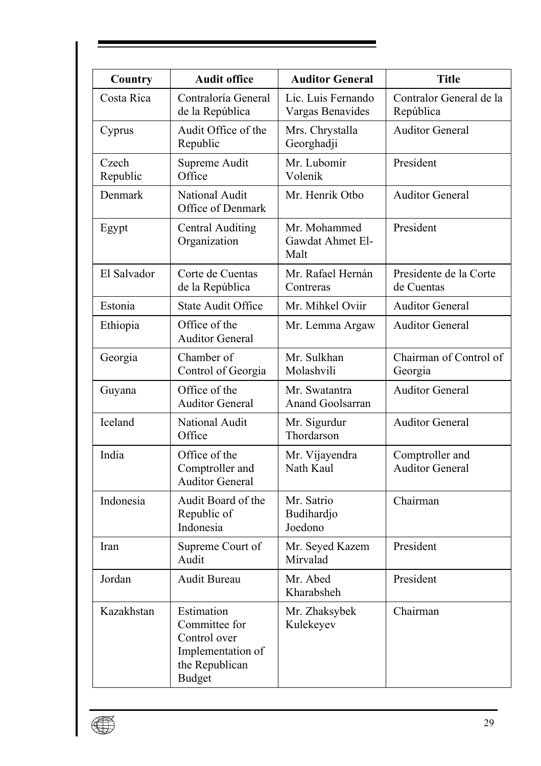| Country           | <b>Audit office</b>                                                                                 | <b>Auditor General</b>                   | <b>Title</b>                              |
|-------------------|-----------------------------------------------------------------------------------------------------|------------------------------------------|-------------------------------------------|
| Costa Rica        | Contraloría General<br>de la República                                                              | Lic. Luis Fernando<br>Vargas Benavides   | Contralor General de la<br>República      |
| Cyprus            | Audit Office of the<br>Republic                                                                     | Mrs. Chrystalla<br>Georghadji            | <b>Auditor General</b>                    |
| Czech<br>Republic | Supreme Audit<br>Office                                                                             | Mr. Lubomír<br>Voleník                   | President                                 |
| Denmark           | National Audit<br>Office of Denmark                                                                 | Mr. Henrik Otbo                          | <b>Auditor General</b>                    |
| Egypt             | <b>Central Auditing</b><br>Organization                                                             | Mr. Mohammed<br>Gawdat Ahmet El-<br>Malt | President                                 |
| El Salvador       | Corte de Cuentas<br>de la República                                                                 | Mr. Rafael Hernán<br>Contreras           | Presidente de la Corte<br>de Cuentas      |
| Estonia           | <b>State Audit Office</b>                                                                           | Mr. Mihkel Oviir                         | <b>Auditor General</b>                    |
| Ethiopia          | Office of the<br><b>Auditor General</b>                                                             | Mr. Lemma Argaw                          | <b>Auditor General</b>                    |
| Georgia           | Chamber of<br>Control of Georgia                                                                    | Mr. Sulkhan<br>Molashvili                | Chairman of Control of<br>Georgia         |
| Guyana            | Office of the<br><b>Auditor General</b>                                                             | Mr. Swatantra<br><b>Anand Goolsarran</b> | <b>Auditor General</b>                    |
| Iceland           | National Audit<br>Office                                                                            | Mr. Sigurdur<br>Thordarson               | <b>Auditor General</b>                    |
| India             | Office of the<br>Comptroller and<br><b>Auditor General</b>                                          | Mr. Vijayendra<br>Nath Kaul              | Comptroller and<br><b>Auditor General</b> |
| Indonesia         | Audit Board of the<br>Republic of<br>Indonesia                                                      | Mr. Satrio<br>Budihardjo<br>Joedono      | Chairman                                  |
| Iran              | Supreme Court of<br>Audit                                                                           | Mr. Seyed Kazem<br>Mirvalad              | President                                 |
| Jordan            | Audit Bureau                                                                                        | Mr. Abed<br>Kharabsheh                   | President                                 |
| Kazakhstan        | Estimation<br>Committee for<br>Control over<br>Implementation of<br>the Republican<br><b>Budget</b> | Mr. Zhaksybek<br>Kulekeyev               | Chairman                                  |

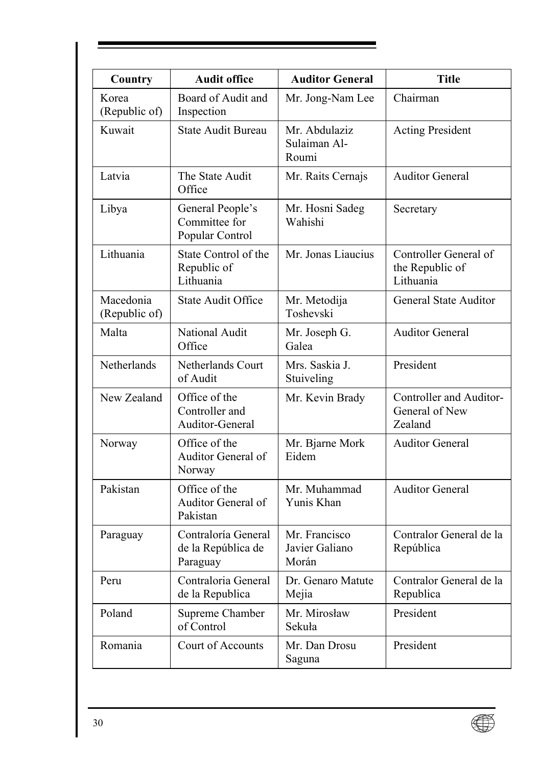| Country                    | <b>Audit office</b>                                   | <b>Auditor General</b>                   | <b>Title</b>                                          |
|----------------------------|-------------------------------------------------------|------------------------------------------|-------------------------------------------------------|
| Korea<br>(Republic of)     | Board of Audit and<br>Inspection                      | Mr. Jong-Nam Lee                         | Chairman                                              |
| Kuwait                     | State Audit Bureau                                    | Mr. Abdulaziz<br>Sulaiman Al-<br>Roumi   | <b>Acting President</b>                               |
| Latvia                     | The State Audit<br>Office                             | Mr. Raits Cernajs                        | <b>Auditor General</b>                                |
| Libya                      | General People's<br>Committee for<br>Popular Control  | Mr. Hosni Sadeg<br>Wahishi               | Secretary                                             |
| Lithuania                  | State Control of the<br>Republic of<br>Lithuania      | Mr. Jonas Liaucius                       | Controller General of<br>the Republic of<br>Lithuania |
| Macedonia<br>(Republic of) | State Audit Office                                    | Mr. Metodija<br>Toshevski                | <b>General State Auditor</b>                          |
| Malta                      | National Audit<br>Office                              | Mr. Joseph G.<br>Galea                   | <b>Auditor General</b>                                |
| Netherlands                | Netherlands Court<br>of Audit                         | Mrs. Saskia J.<br>Stuiveling             | President                                             |
| New Zealand                | Office of the<br>Controller and<br>Auditor-General    | Mr. Kevin Brady                          | Controller and Auditor-<br>General of New<br>Zealand  |
| Norway                     | Office of the<br>Auditor General of<br>Norway         | Mr. Bjarne Mork<br>Eidem                 | <b>Auditor General</b>                                |
| Pakistan                   | Office of the<br>Auditor General of<br>Pakistan       | Mr. Muhammad<br>Yunis Khan               | <b>Auditor General</b>                                |
| Paraguay                   | Contraloría General<br>de la República de<br>Paraguay | Mr. Francisco<br>Javier Galiano<br>Morán | Contralor General de la<br>República                  |
| Peru                       | Contraloria General<br>de la Republica                | Dr. Genaro Matute<br>Mejia               | Contralor General de la<br>Republica                  |
| Poland                     | Supreme Chamber<br>of Control                         | Mr. Mirosław<br>Sekuła                   | President                                             |
| Romania                    | Court of Accounts                                     | Mr. Dan Drosu<br>Saguna                  | President                                             |